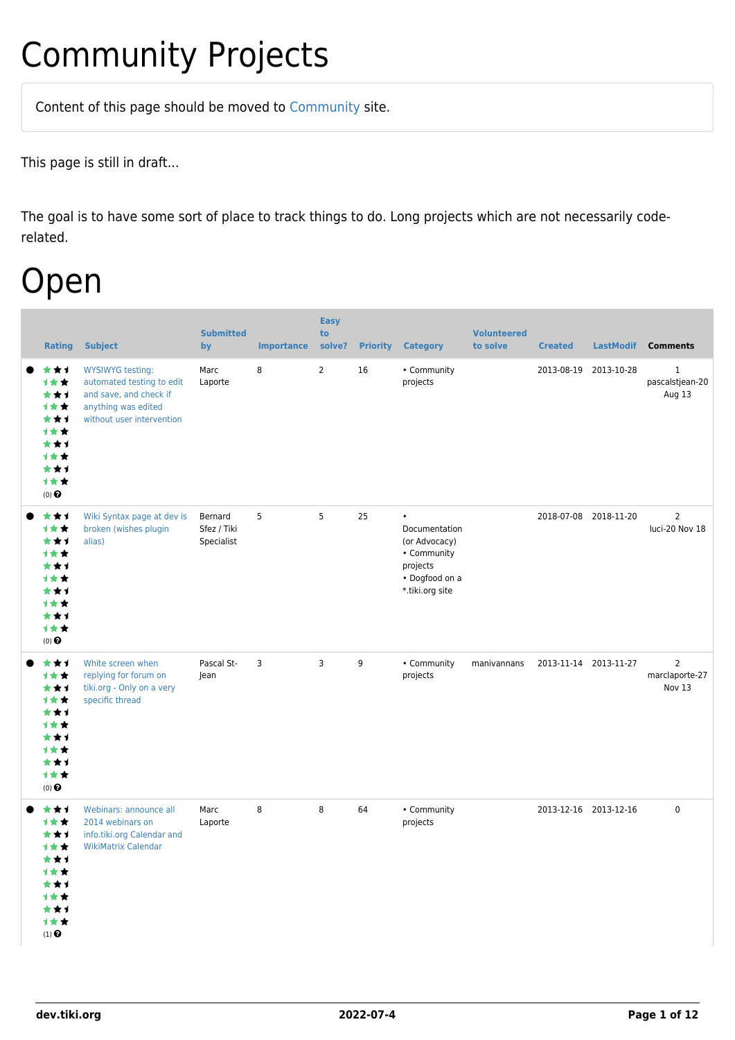## Community Projects

Content of this page should be [moved](https://dev.tiki.org/tiki-editpage.php?page=moved) to [Community](http://tiki.org/Community) site.

This page is still in draft...

The goal is to have some sort of place to track things to do. Long projects which are not necessarily coderelated.

## Open

| <b>Rating</b>                                                                                                    | <b>Subject</b>                                                                                                                     | <b>Submitted</b><br>by               | <b>Importance</b> | <b>Easy</b><br>to<br>solve? | <b>Priority</b> | <b>Category</b>                                                                                             | <b>Volunteered</b><br>to solve | <b>Created</b>        | <b>LastModif</b> | <b>Comments</b>                            |
|------------------------------------------------------------------------------------------------------------------|------------------------------------------------------------------------------------------------------------------------------------|--------------------------------------|-------------------|-----------------------------|-----------------|-------------------------------------------------------------------------------------------------------------|--------------------------------|-----------------------|------------------|--------------------------------------------|
| ***<br>1★★<br>***<br><b>1**</b><br>***<br>1★★<br>***<br>1★★<br>***<br>计女女<br>$(0)$ $\odot$                       | <b>WYSIWYG testing:</b><br>automated testing to edit<br>and save, and check if<br>anything was edited<br>without user intervention | Marc<br>Laporte                      | 8                 | $\overline{2}$              | 16              | • Community<br>projects                                                                                     |                                | 2013-08-19            | 2013-10-28       | $\mathbf{1}$<br>pascalstjean-20<br>Aug 13  |
| ***<br>1★★<br>***<br><b>1**</b><br>★★↑<br>1**<br>***<br>计女女<br>***<br>计女女<br>$(0)$ $\odot$                       | Wiki Syntax page at dev is<br>broken (wishes plugin<br>alias)                                                                      | Bernard<br>Sfez / Tiki<br>Specialist | 5                 | 5                           | 25              | $\bullet$<br>Documentation<br>(or Advocacy)<br>• Community<br>projects<br>• Dogfood on a<br>*.tiki.org site |                                | 2018-07-08 2018-11-20 |                  | $\overline{2}$<br>luci-20 Nov 18           |
| ***<br>1★★<br>***<br>1★★<br>★★1<br><b>1**</b><br>***<br><b>1**</b><br>***<br>1★★<br>$(0)$ $\Theta$               | White screen when<br>replying for forum on<br>tiki.org - Only on a very<br>specific thread                                         | Pascal St-<br>Jean                   | 3                 | 3                           | 9               | • Community<br>projects                                                                                     | manivannans                    | 2013-11-14 2013-11-27 |                  | $\overline{2}$<br>marclaporte-27<br>Nov 13 |
| ***<br>1★★<br>***<br>计女女<br>***<br>1★★<br>★★1<br><b>1**</b><br>★★1<br>计女女<br>$(1)$ <sup><math>\odot</math></sup> | Webinars: announce all<br>2014 webinars on<br>info.tiki.org Calendar and<br><b>WikiMatrix Calendar</b>                             | Marc<br>Laporte                      | 8                 | 8                           | 64              | • Community<br>projects                                                                                     |                                | 2013-12-16 2013-12-16 |                  | $\mathbf 0$                                |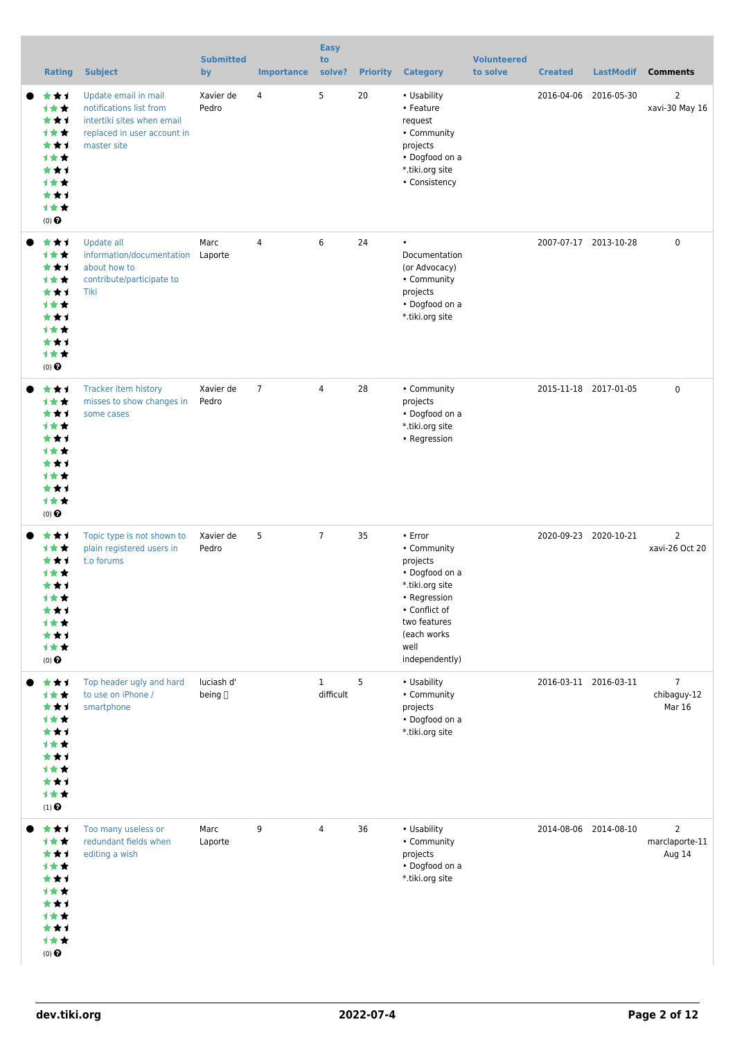| <b>Rating</b>                                                                                            | <b>Subject</b>                                                                                                              | <b>Submitted</b><br>by | <b>Importance</b> | <b>Easy</b><br>to<br>solve? | <b>Priority</b> | <b>Category</b>                                                                                                                                                   | <b>Volunteered</b><br>to solve | <b>Created</b> | <b>LastModif</b>      | <b>Comments</b>                            |
|----------------------------------------------------------------------------------------------------------|-----------------------------------------------------------------------------------------------------------------------------|------------------------|-------------------|-----------------------------|-----------------|-------------------------------------------------------------------------------------------------------------------------------------------------------------------|--------------------------------|----------------|-----------------------|--------------------------------------------|
| ***<br>计女女<br>***<br>计女女<br>***<br>1★★<br>***<br>计女女<br>***<br>1★★<br>$(0)$ $\odot$                      | Update email in mail<br>notifications list from<br>intertiki sites when email<br>replaced in user account in<br>master site | Xavier de<br>Pedro     | 4                 | 5                           | 20              | • Usability<br>• Feature<br>request<br>• Community<br>projects<br>• Dogfood on a<br>*.tiki.org site<br>• Consistency                                              |                                | 2016-04-06     | 2016-05-30            | $\overline{2}$<br>xavi-30 May 16           |
| ★★1<br>计女女<br>***<br>计女女<br>***<br>1★★<br>***<br><b>1**</b><br>★★1<br>1★★<br>$(0)$ $\odot$               | Update all<br>information/documentation<br>about how to<br>contribute/participate to<br>Tiki                                | Marc<br>Laporte        | $\overline{4}$    | 6                           | 24              | $\bullet$<br>Documentation<br>(or Advocacy)<br>• Community<br>projects<br>• Dogfood on a<br>*.tiki.org site                                                       |                                |                | 2007-07-17 2013-10-28 | $\mathbf 0$                                |
| ★★1<br>1**<br>***<br><b>1**</b><br>***<br><b>1★★</b><br>***<br><b>1**</b><br>★★1<br>计女女<br>$(0)$ $\odot$ | Tracker item history<br>misses to show changes in<br>some cases                                                             | Xavier de<br>Pedro     | $\overline{7}$    | $\overline{4}$              | 28              | • Community<br>projects<br>• Dogfood on a<br>*.tiki.org site<br>• Regression                                                                                      |                                |                | 2015-11-18 2017-01-05 | $\mathbf 0$                                |
| ★★1<br>1**<br>***<br>计女女<br>★★1<br>计女女<br>***<br>1★★<br>***<br>计女女<br>$(0)$ $\odot$                      | Topic type is not shown to<br>plain registered users in<br>t.o forums                                                       | Xavier de<br>Pedro     | 5                 | $\overline{7}$              | 35              | • Error<br>• Community<br>projects<br>• Dogfood on a<br>*.tiki.org site<br>• Regression<br>• Conflict of<br>two features<br>(each works<br>well<br>independently) |                                |                | 2020-09-23 2020-10-21 | $\overline{2}$<br>xavi-26 Oct 20           |
| ***<br>计女女<br>***<br>1★★<br>***<br>1**<br>***<br>1★★<br>***<br>1★★<br>$(1)$ $\odot$                      | Top header ugly and hard<br>to use on iPhone /<br>smartphone                                                                | luciash d'<br>being [] |                   | $\mathbf{1}$<br>difficult   | 5               | • Usability<br>• Community<br>projects<br>• Dogfood on a<br>*.tiki.org site                                                                                       |                                |                | 2016-03-11 2016-03-11 | $\overline{7}$<br>chibaguy-12<br>Mar 16    |
| ***<br>1★★<br>***<br>1★★<br>***<br>1★★<br>***<br>1★★<br>***<br>计女女<br>$(0)$ $\odot$                      | Too many useless or<br>redundant fields when<br>editing a wish                                                              | Marc<br>Laporte        | 9                 | 4                           | 36              | • Usability<br>• Community<br>projects<br>• Dogfood on a<br>*.tiki.org site                                                                                       |                                |                | 2014-08-06 2014-08-10 | $\overline{2}$<br>marclaporte-11<br>Aug 14 |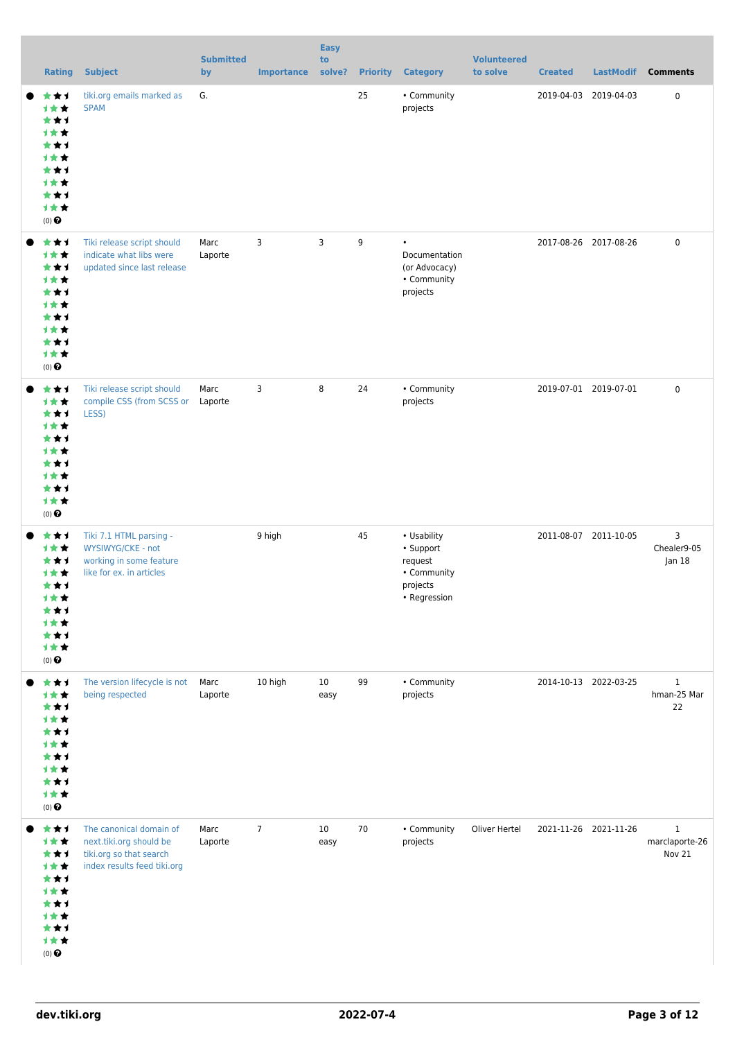| <b>Rating</b>                                                                       | <b>Subject</b>                                                                                               | <b>Submitted</b><br>by | <b>Importance</b> | <b>Easy</b><br>to<br>solve? | <b>Priority</b> | <b>Category</b>                                                                | <b>Volunteered</b><br>to solve | <b>Created</b>        | <b>LastModif</b> | <b>Comments</b>                          |
|-------------------------------------------------------------------------------------|--------------------------------------------------------------------------------------------------------------|------------------------|-------------------|-----------------------------|-----------------|--------------------------------------------------------------------------------|--------------------------------|-----------------------|------------------|------------------------------------------|
| ***<br>计女女<br>***<br>1★★<br>***<br>计女女<br>***<br>1★★<br>***<br>计女女<br>$(0)$ $\odot$ | tiki.org emails marked as<br><b>SPAM</b>                                                                     | G.                     |                   |                             | 25              | • Community<br>projects                                                        |                                | 2019-04-03            | 2019-04-03       | $\mathbf 0$                              |
| ***<br>1★★<br>***<br>计女女<br>***<br>计女女<br>***<br>计女女<br>***<br>计女女<br>$(0)$ $\odot$ | Tiki release script should<br>indicate what libs were<br>updated since last release                          | Marc<br>Laporte        | 3                 | $\overline{3}$              | 9               | $\bullet$<br>Documentation<br>(or Advocacy)<br>• Community<br>projects         |                                | 2017-08-26 2017-08-26 |                  | $\mathbf 0$                              |
| ***<br>1★★<br>***<br>计女女<br>***<br>1★★<br>***<br>计女女<br>***<br>计女女<br>$(0)$ $\odot$ | Tiki release script should<br>compile CSS (from SCSS or Laporte<br>LESS)                                     | Marc                   | 3                 | 8                           | 24              | • Community<br>projects                                                        |                                | 2019-07-01 2019-07-01 |                  | $\mathbf 0$                              |
| ***<br>计女女<br>***<br>计女女<br>***<br>计女女<br>***<br>计女女<br>***<br>计女女<br>$(0)$ $\odot$ | Tiki 7.1 HTML parsing -<br>WYSIWYG/CKE - not<br>working in some feature<br>like for ex. in articles          |                        | 9 high            |                             | 45              | • Usability<br>• Support<br>request<br>• Community<br>projects<br>• Regression |                                | 2011-08-07 2011-10-05 |                  | 3<br>Chealer9-05<br> an 18               |
| ***<br>1★★<br>***<br>1★★<br>***<br>1★★<br>***<br>计女女<br>***<br>计女女<br>$(0)$ $\odot$ | The version lifecycle is not<br>being respected                                                              | Marc<br>Laporte        | 10 high           | 10 <sup>°</sup><br>easy     | 99              | • Community<br>projects                                                        |                                | 2014-10-13 2022-03-25 |                  | $\mathbf{1}$<br>hman-25 Mar<br>22        |
| ***<br>1★★<br>***<br>计女女<br>***<br>1★★<br>***<br>计女女<br>***<br>计女女<br>$(0)$ $\odot$ | The canonical domain of<br>next.tiki.org should be<br>tiki.org so that search<br>index results feed tiki.org | Marc<br>Laporte        | $\overline{7}$    | 10<br>easy                  | 70              | • Community<br>projects                                                        | Oliver Hertel                  | 2021-11-26 2021-11-26 |                  | $\mathbf{1}$<br>marclaporte-26<br>Nov 21 |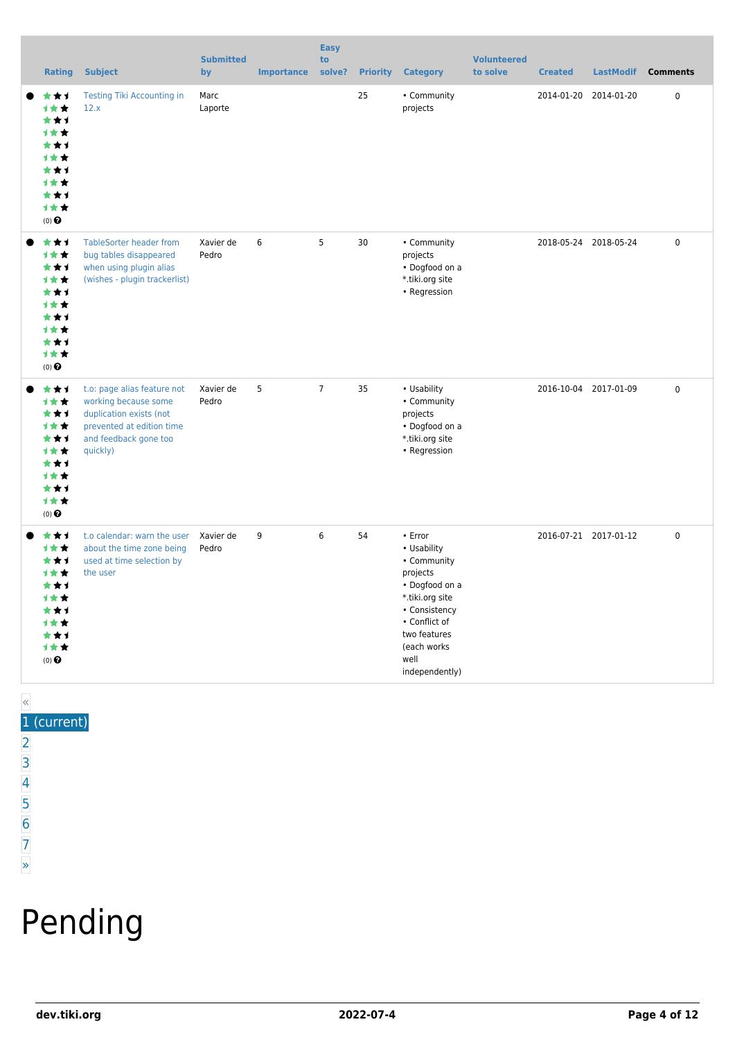| <b>Rating</b>                                                                                                           | <b>Subject</b>                                                                                                                                   | <b>Submitted</b><br>by | <b>Importance</b> | <b>Easy</b><br>to<br>solve? | <b>Priority</b> | <b>Category</b>                                                                                                                                                                    | <b>Volunteered</b><br>to solve | <b>Created</b> | <b>LastModif</b>      | <b>Comments</b> |
|-------------------------------------------------------------------------------------------------------------------------|--------------------------------------------------------------------------------------------------------------------------------------------------|------------------------|-------------------|-----------------------------|-----------------|------------------------------------------------------------------------------------------------------------------------------------------------------------------------------------|--------------------------------|----------------|-----------------------|-----------------|
| ***<br>1★★<br>***<br><b>1**</b><br>★★1<br>***<br>***<br><b>1**</b><br>***<br><b>1**</b><br>$(0)$ $\odot$                | <b>Testing Tiki Accounting in</b><br>12.x                                                                                                        | Marc<br>Laporte        |                   |                             | 25              | • Community<br>projects                                                                                                                                                            |                                | 2014-01-20     | 2014-01-20            | $\pmb{0}$       |
| ***<br>1★★<br>***<br>1★★<br>***<br>1★★<br>***<br><b>1**</b><br>***<br>计女女<br>$(0)$ $\odot$                              | <b>TableSorter header from</b><br>bug tables disappeared<br>when using plugin alias<br>(wishes - plugin trackerlist)                             | Xavier de<br>Pedro     | 6                 | 5                           | 30              | • Community<br>projects<br>• Dogfood on a<br>*.tiki.org site<br>• Regression                                                                                                       |                                |                | 2018-05-24 2018-05-24 | 0               |
| ***<br>1★★<br>***<br>计女女<br>***<br><b>1**</b><br>***<br>1★★<br>***<br>1★★<br>$(0)$ $\odot$                              | t.o: page alias feature not<br>working because some<br>duplication exists (not<br>prevented at edition time<br>and feedback gone too<br>quickly) | Xavier de<br>Pedro     | 5                 | $\overline{7}$              | 35              | • Usability<br>• Community<br>projects<br>• Dogfood on a<br>*.tiki.org site<br>• Regression                                                                                        |                                |                | 2016-10-04 2017-01-09 | $\mathbf 0$     |
| ***<br>计女女<br>***<br><b>1**</b><br>***<br>***<br>***<br><b>1**</b><br>***<br>计女女<br>$(0)$ <sup><math>\odot</math></sup> | t.o calendar: warn the user<br>about the time zone being<br>used at time selection by<br>the user                                                | Xavier de<br>Pedro     | 9                 | 6                           | 54              | • Error<br>• Usability<br>• Community<br>projects<br>• Dogfood on a<br>*.tiki.org site<br>• Consistency<br>• Conflict of<br>two features<br>(each works)<br>well<br>independently) |                                |                | 2016-07-21 2017-01-12 | $\pmb{0}$       |

### « 1 (current)

- $\overline{2}$  $\overline{2}$  $\overline{2}$ [3](https://dev.tiki.org/tiki-print.php?tr_sort_mode1=f_26_desc&page=Community+Projects&tr_offset1=40)
- [4](https://dev.tiki.org/tiki-print.php?tr_sort_mode1=f_26_desc&page=Community+Projects&tr_offset1=60)
- [5](https://dev.tiki.org/tiki-print.php?tr_sort_mode1=f_26_desc&page=Community+Projects&tr_offset1=80)
- [6](https://dev.tiki.org/tiki-print.php?tr_sort_mode1=f_26_desc&page=Community+Projects&tr_offset1=100)
- [7](https://dev.tiki.org/tiki-print.php?tr_sort_mode1=f_26_desc&page=Community+Projects&tr_offset1=120)

#### [»](https://dev.tiki.org/tiki-print.php?tr_sort_mode1=f_26_desc&page=Community+Projects&tr_offset1=20)

# Pending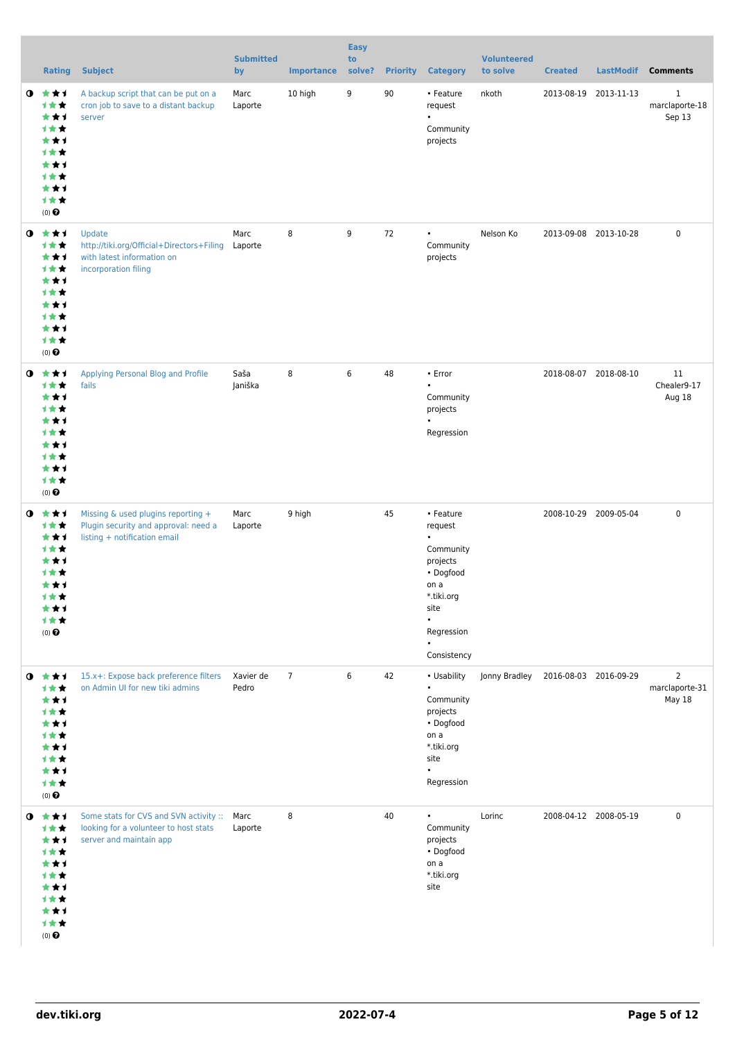|           | <b>Rating</b>                                                                                             | <b>Subject</b>                                                                                                  | <b>Submitted</b><br>by | <b>Importance</b> | <b>Easy</b><br>to<br>solve? | <b>Priority</b> | <b>Category</b>                                                                                                                                 | <b>Volunteered</b><br>to solve | <b>Created</b>        | <b>LastModif</b>      | <b>Comments</b>                            |
|-----------|-----------------------------------------------------------------------------------------------------------|-----------------------------------------------------------------------------------------------------------------|------------------------|-------------------|-----------------------------|-----------------|-------------------------------------------------------------------------------------------------------------------------------------------------|--------------------------------|-----------------------|-----------------------|--------------------------------------------|
| $\bullet$ | ***<br>计女女<br>***<br>计女女<br>***<br>计女女<br>***<br>计女女<br>***<br>1★★<br>$(0)$ $\odot$                       | A backup script that can be put on a<br>cron job to save to a distant backup<br>server                          | Marc<br>Laporte        | 10 high           | 9                           | 90              | • Feature<br>request<br>$\bullet$<br>Community<br>projects                                                                                      | nkoth                          |                       | 2013-08-19 2013-11-13 | $\mathbf{1}$<br>marclaporte-18<br>Sep 13   |
| $\bullet$ | ***<br>计女女<br>***<br>计女女<br>***<br>计女女<br>***<br>计女女<br>***<br>计女女<br>$(0)$ <sup><math>\odot</math></sup> | Update<br>http://tiki.org/Official+Directors+Filing<br>with latest information on<br>incorporation filing       | Marc<br>Laporte        | 8                 | 9                           | 72              | $\bullet$<br>Community<br>projects                                                                                                              | Nelson Ko                      |                       | 2013-09-08 2013-10-28 | 0                                          |
| $\bullet$ | 大大士<br>计女女<br>***<br>计女女<br>***<br>计女女<br>***<br>计女女<br>***<br>计女女<br>(0)                                 | Applying Personal Blog and Profile<br>fails                                                                     | Saša<br>Janiška        | 8                 | 6                           | 48              | • Error<br>$\bullet$<br>Community<br>projects<br>Regression                                                                                     |                                |                       | 2018-08-07 2018-08-10 | 11<br>Chealer9-17<br>Aug 18                |
| $\bullet$ | ***<br>计女女<br>***<br>计女女<br>***<br>才女女<br>***<br>计女女<br>***<br>计女女<br>$(0)$ $\Theta$                      | Missing & used plugins reporting +<br>Plugin security and approval: need a<br>listing + notification email      | Marc<br>Laporte        | 9 high            |                             | 45              | • Feature<br>request<br>$\bullet$<br>Community<br>projects<br>• Dogfood<br>on a<br>*.tiki.org<br>site<br>$\bullet$<br>Regression<br>Consistency |                                |                       | 2008-10-29 2009-05-04 | 0                                          |
|           | $0$ $*$ $*$ $*$<br>计女女<br>***<br>1女女<br>***<br>1★★<br>***<br>计女女<br>***<br>计女女<br>$(0)$ $\Theta$          | 15.x+: Expose back preference filters<br>on Admin UI for new tiki admins                                        | Xavier de<br>Pedro     | $\overline{7}$    | 6                           | 42              | • Usability<br>$\bullet$<br>Community<br>projects<br>• Dogfood<br>on a<br>*.tiki.org<br>site<br>$\bullet$<br>Regression                         | Jonny Bradley                  | 2016-08-03 2016-09-29 |                       | $\overline{2}$<br>marclaporte-31<br>May 18 |
| $\bullet$ | 大女子<br>计女女<br>***<br>计女女<br>***<br>计女女<br>***<br>计女女<br>***<br>计女女<br>$(0)$ $\odot$                       | Some stats for CVS and SVN activity :: Marc<br>looking for a volunteer to host stats<br>server and maintain app | Laporte                | 8                 |                             | 40              | $\bullet$<br>Community<br>projects<br>• Dogfood<br>on a<br>*.tiki.org<br>site                                                                   | Lorinc                         |                       | 2008-04-12 2008-05-19 | $\mathbf 0$                                |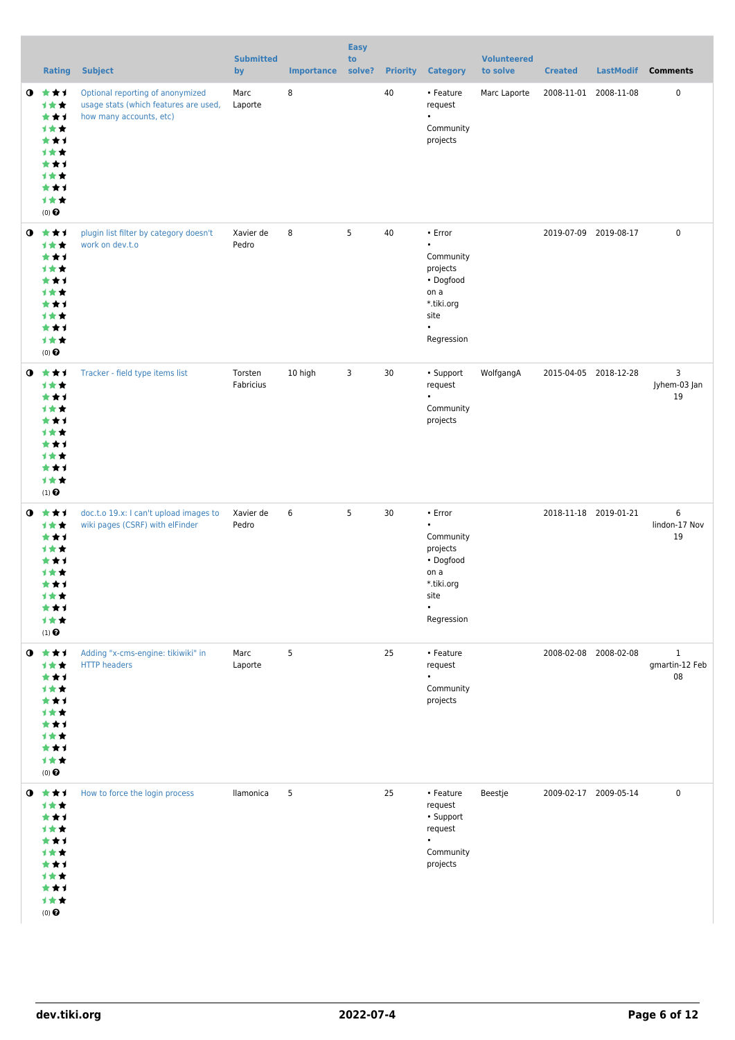|           | <b>Rating</b>                                                                                                            | <b>Subject</b>                                                                                       | <b>Submitted</b><br>by | <b>Importance</b> | <b>Easy</b><br>to<br>solve? |    | <b>Priority Category</b>                                                                                            | <b>Volunteered</b><br>to solve | <b>Created</b>        | <b>LastModif</b> | <b>Comments</b>                      |
|-----------|--------------------------------------------------------------------------------------------------------------------------|------------------------------------------------------------------------------------------------------|------------------------|-------------------|-----------------------------|----|---------------------------------------------------------------------------------------------------------------------|--------------------------------|-----------------------|------------------|--------------------------------------|
|           | $0 \star \star \star$<br>计女女<br>***<br>1★★<br>***<br>计女女<br>***<br>计女女<br>***<br>1★★<br>$(0)$ $\Theta$                   | Optional reporting of anonymized<br>usage stats (which features are used,<br>how many accounts, etc) | Marc<br>Laporte        | 8                 |                             | 40 | • Feature<br>request<br>$\bullet$<br>Community<br>projects                                                          | Marc Laporte                   | 2008-11-01 2008-11-08 |                  | 0                                    |
|           | $0 \star \star \star$<br>1★★<br>***<br>计女女<br>***<br><b>1**</b><br>***<br>计女女<br>***<br>计女女<br>$(0)$ $\odot$             | plugin list filter by category doesn't<br>work on dev.t.o                                            | Xavier de<br>Pedro     | 8                 | 5                           | 40 | • Error<br>$\bullet$<br>Community<br>projects<br>• Dogfood<br>on a<br>*.tiki.org<br>site<br>$\bullet$<br>Regression |                                | 2019-07-09 2019-08-17 |                  | 0                                    |
| $\bullet$ | ***<br>1★★<br>***<br>计女女<br>***<br>计女女<br>***<br>计女女<br>***<br>计女女<br>$(1)$ $\odot$                                      | Tracker - field type items list                                                                      | Torsten<br>Fabricius   | 10 high           | 3                           | 30 | • Support<br>request<br>$\bullet$<br>Community<br>projects                                                          | WolfgangA                      | 2015-04-05 2018-12-28 |                  | 3<br>Jyhem-03 Jan<br>19              |
|           | $0 \star \star \star$<br>计女女<br>***<br>计女女<br>***<br><b>1 ★ ★</b><br>***<br>1★★<br>***<br>计女女<br>$(1)$<br>$\pmb{\Theta}$ | doc.t.o 19.x: I can't upload images to<br>wiki pages (CSRF) with elFinder                            | Xavier de<br>Pedro     | 6                 | 5                           | 30 | • Error<br>$\bullet$<br>Community<br>projects<br>• Dogfood<br>on a<br>*.tiki.org<br>site<br>$\bullet$<br>Regression |                                | 2018-11-18 2019-01-21 |                  | 6<br>lindon-17 Nov<br>19             |
|           | $0 \star \star \star$<br>计女女<br>***<br>1★★<br>***<br>计女女<br>***<br>1★★<br>***<br>计女女<br>$(0)$ $\odot$                    | Adding "x-cms-engine: tikiwiki" in<br><b>HTTP headers</b>                                            | Marc<br>Laporte        | 5                 |                             | 25 | • Feature<br>request<br>$\bullet$<br>Community<br>projects                                                          |                                | 2008-02-08 2008-02-08 |                  | $\mathbf{1}$<br>gmartin-12 Feb<br>08 |
|           | $0 \star \star \star$<br>计女女<br>***<br>计女女<br>***<br>计女女<br>***<br><b>1**</b><br>***<br>计女女<br>$(0)$ $\Theta$            | How to force the login process                                                                       | llamonica              | 5                 |                             | 25 | • Feature<br>request<br>• Support<br>request<br>Community<br>projects                                               | Beestje                        | 2009-02-17 2009-05-14 |                  | 0                                    |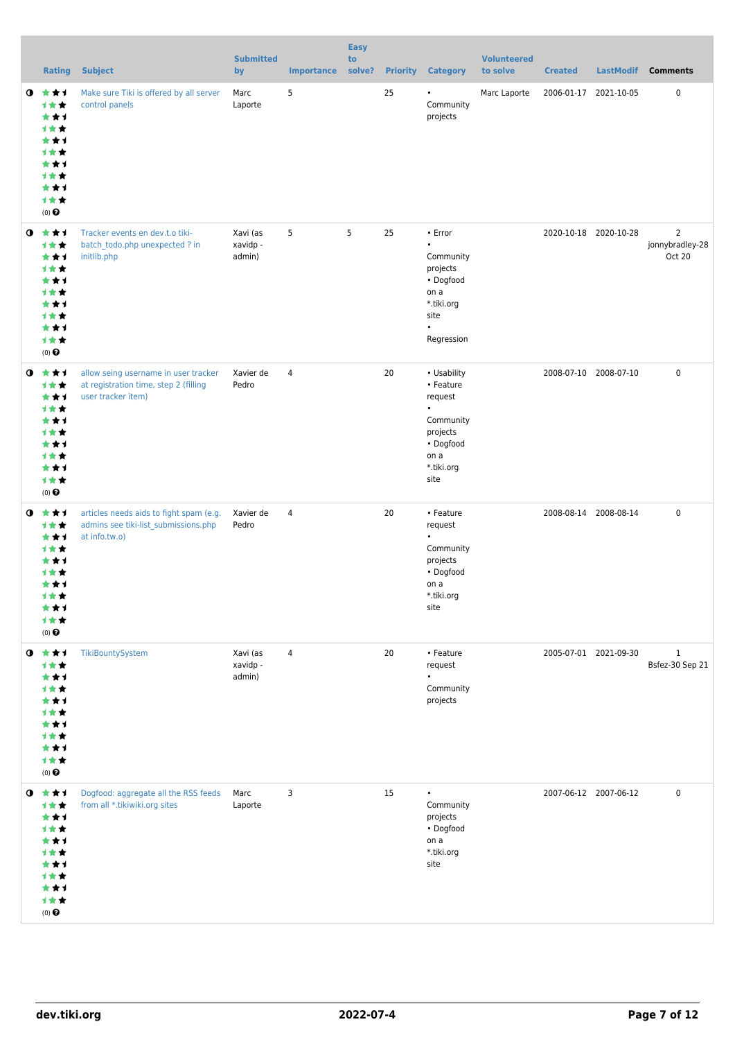|           | <b>Rating</b>                                                                                             | <b>Subject</b>                                                                                      | <b>Submitted</b><br>by         | <b>Importance</b> | <b>Easy</b><br>to<br>solve? |    | <b>Priority Category</b>                                                                                             | <b>Volunteered</b><br>to solve | <b>Created</b>        | <b>LastModif</b>      | <b>Comments</b>                             |
|-----------|-----------------------------------------------------------------------------------------------------------|-----------------------------------------------------------------------------------------------------|--------------------------------|-------------------|-----------------------------|----|----------------------------------------------------------------------------------------------------------------------|--------------------------------|-----------------------|-----------------------|---------------------------------------------|
| $\bullet$ | 大大才<br>计女女<br>***<br>计女女<br>***<br><b>1**</b><br>***<br>计女女<br>***<br>计女女<br>$(0)$ $\odot$                | Make sure Tiki is offered by all server<br>control panels                                           | Marc<br>Laporte                | 5                 |                             | 25 | $\bullet$<br>Community<br>projects                                                                                   | Marc Laporte                   | 2006-01-17 2021-10-05 |                       | 0                                           |
| $\bullet$ | 大大才<br>计女女<br>***<br>1★★<br>***<br><b>1**</b><br>***<br>计女女<br>***<br>计女女<br>$(0)$ $\odot$                | Tracker events en dev.t.o tiki-<br>batch_todo.php unexpected ? in<br>initlib.php                    | Xavi (as<br>xavidp -<br>admin) | 5                 | 5                           | 25 | • Error<br>$\bullet$<br>Community<br>projects<br>• Dogfood<br>on a<br>*.tiki.org<br>site<br>$\bullet$<br>Regression  |                                |                       | 2020-10-18 2020-10-28 | $\overline{2}$<br>jonnybradley-28<br>Oct 20 |
| $\bullet$ | ***<br>计女女<br>***<br>计女女<br>***<br>计女女<br>***<br>计女女<br>***<br>计女女<br>$(0)$ $\odot$                       | allow seing username in user tracker<br>at registration time, step 2 (filling<br>user tracker item) | Xavier de<br>Pedro             | 4                 |                             | 20 | • Usability<br>• Feature<br>request<br>$\bullet$<br>Community<br>projects<br>• Dogfood<br>on a<br>*.tiki.org<br>site |                                | 2008-07-10 2008-07-10 |                       | 0                                           |
| $\bullet$ | ***<br>计女女<br>***<br>计女女<br>***<br>1 <del>*</del> *<br>***<br>计女女<br>***<br>计女女<br>$(0)$ $\Theta$         | articles needs aids to fight spam (e.g.<br>admins see tiki-list_submissions.php<br>at info.tw.o)    | Xavier de<br>Pedro             | 4                 |                             | 20 | • Feature<br>request<br>Community<br>projects<br>• Dogfood<br>on a<br>*.tiki.org<br>site                             |                                | 2008-08-14 2008-08-14 |                       | 0                                           |
|           | $0$ $*$ $*$ $*$<br>计女女<br>***<br>计女女<br>***<br>1★★<br>***<br>计女女<br>***<br>1★★<br>$(0)$ $\Theta$          | TikiBountySystem                                                                                    | Xavi (as<br>xavidp -<br>admin) | $\overline{4}$    |                             | 20 | • Feature<br>request<br>Community<br>projects                                                                        |                                |                       | 2005-07-01 2021-09-30 | $\mathbf{1}$<br>Bsfez-30 Sep 21             |
| $\bullet$ | 大大士<br>计女女<br>***<br>计女女<br>***<br>计女女<br>***<br>1★★<br>***<br>计女女<br>$(0)$ <sup><math>\odot</math></sup> | Dogfood: aggregate all the RSS feeds<br>from all *.tikiwiki.org sites                               | Marc<br>Laporte                | 3                 |                             | 15 | $\bullet$<br>Community<br>projects<br>• Dogfood<br>on a<br>*.tiki.org<br>site                                        |                                | 2007-06-12 2007-06-12 |                       | 0                                           |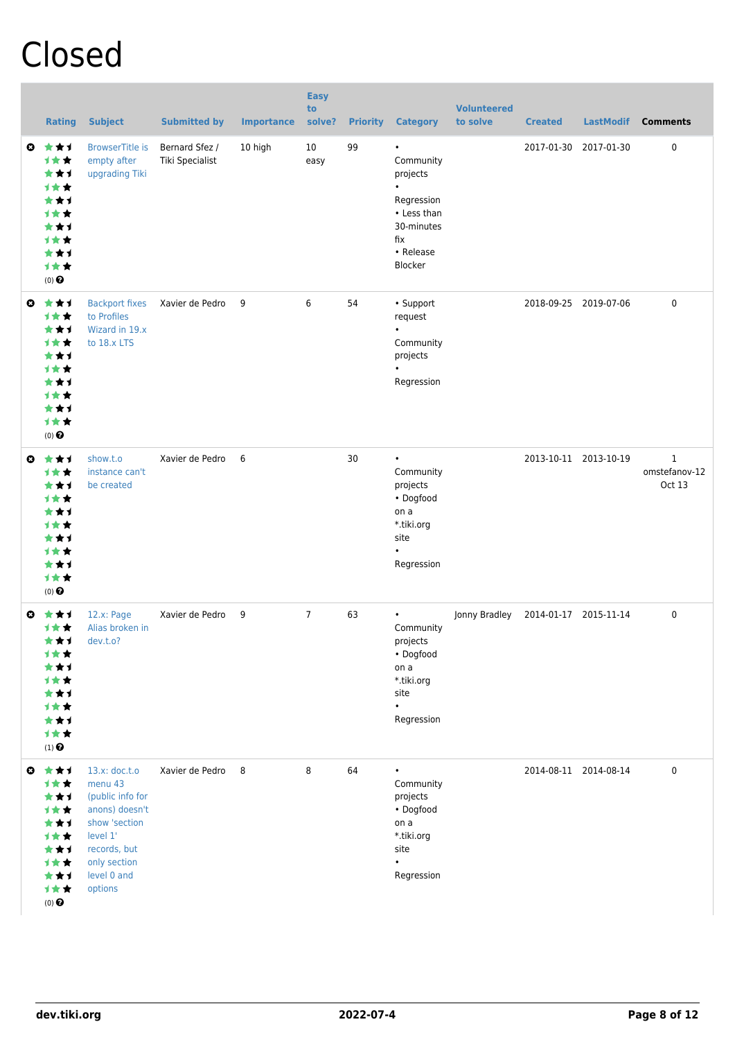## Closed

|    | <b>Rating</b>                                                                                                     | <b>Subject</b>                                                                                                                                        | <b>Submitted by</b>               | <b>Importance</b> | <b>Easy</b><br>to<br>solve? | <b>Priority</b> | <b>Category</b>                                                                                              | <b>Volunteered</b><br>to solve | <b>Created</b>        | <b>LastModif</b>      | <b>Comments</b>              |
|----|-------------------------------------------------------------------------------------------------------------------|-------------------------------------------------------------------------------------------------------------------------------------------------------|-----------------------------------|-------------------|-----------------------------|-----------------|--------------------------------------------------------------------------------------------------------------|--------------------------------|-----------------------|-----------------------|------------------------------|
| O. | ***<br><b>1**</b><br>***<br>1★★<br>***<br><b>1★★</b><br>***<br><b>1**</b><br>★★1<br>计女女<br>$(0)$ $\odot$          | <b>BrowserTitle is</b><br>empty after<br>upgrading Tiki                                                                                               | Bernard Sfez /<br>Tiki Specialist | 10 high           | 10<br>easy                  | 99              | $\bullet$<br>Community<br>projects<br>Regression<br>• Less than<br>30-minutes<br>fix<br>• Release<br>Blocker |                                | 2017-01-30            | 2017-01-30            | 0                            |
| O  | ***<br><b>1**</b><br>***<br><b>1★★</b><br>***<br><b>1★★</b><br>***<br>才女女<br>★★1<br>***<br>$(0)$ $\odot$          | <b>Backport fixes</b><br>to Profiles<br>Wizard in 19.x<br>to 18.x LTS                                                                                 | Xavier de Pedro                   | 9                 | 6                           | 54              | • Support<br>request<br>Community<br>projects<br>Regression                                                  |                                |                       | 2018-09-25 2019-07-06 | $\mathbf 0$                  |
| O  | ***<br><b>1**</b><br>***<br><b>1★★</b><br>★★1<br><b>1★★</b><br>***<br><b>1 * *</b><br>★★1<br>计女女<br>$(0)$ $\odot$ | show.t.o<br>instance can't<br>be created                                                                                                              | Xavier de Pedro                   | 6                 |                             | 30              | $\bullet$<br>Community<br>projects<br>• Dogfood<br>on a<br>*.tiki.org<br>site<br>$\bullet$<br>Regression     |                                | 2013-10-11 2013-10-19 |                       | 1<br>omstefanov-12<br>Oct 13 |
| Ø  | ***<br><b>1★★</b><br>***<br>计女女<br>***<br>计女女<br>***<br><b>1**</b><br>***<br>计女女<br>$(1)$ $\odot$                 | 12.x: Page<br>Alias broken in<br>dev.t.o?                                                                                                             | Xavier de Pedro                   | 9                 | 7                           | 63              | $\bullet$<br>Community<br>projects<br>• Dogfood<br>on a<br>*.tiki.org<br>site<br>$\bullet$<br>Regression     | Jonny Bradley                  | 2014-01-17 2015-11-14 |                       | 0                            |
| ◎  | ***<br>计女女<br>***<br>计女女<br>***<br>计女女<br>***<br>计女女<br>***<br>计女女<br>$(0)$ $\bigodot$                            | 13.x: doc.t.o<br>menu 43<br>(public info for<br>anons) doesn't<br>show 'section<br>level 1'<br>records, but<br>only section<br>level 0 and<br>options | Xavier de Pedro                   | 8                 | 8                           | 64              | $\bullet$<br>Community<br>projects<br>• Dogfood<br>on a<br>*.tiki.org<br>site<br>$\bullet$<br>Regression     |                                | 2014-08-11 2014-08-14 |                       | $\mathbf 0$                  |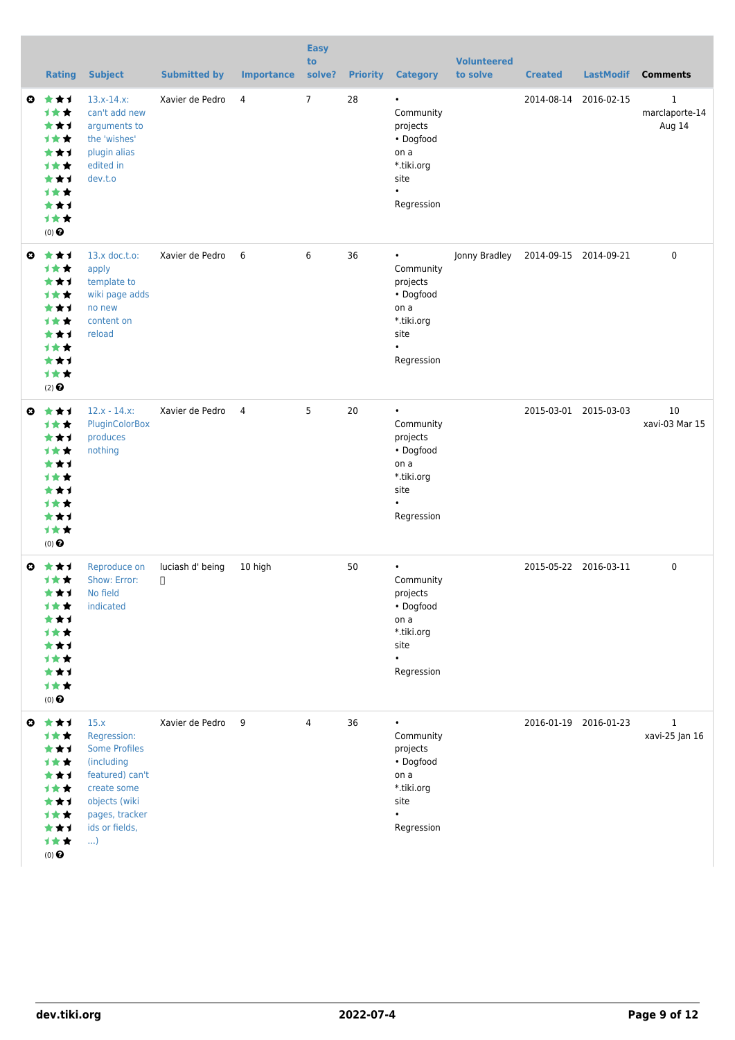|                       | <b>Rating</b>                                                                                                   | <b>Subject</b>                                                                                                                                               | <b>Submitted by</b>        | <b>Importance</b> | <b>Easy</b><br>to<br>solve? | <b>Priority</b> | <b>Category</b>                                                                                          | <b>Volunteered</b><br>to solve | <b>Created</b>        | <b>LastModif</b>      | <b>Comments</b>                          |
|-----------------------|-----------------------------------------------------------------------------------------------------------------|--------------------------------------------------------------------------------------------------------------------------------------------------------------|----------------------------|-------------------|-----------------------------|-----------------|----------------------------------------------------------------------------------------------------------|--------------------------------|-----------------------|-----------------------|------------------------------------------|
| O                     | ***<br><b>1**</b><br>★★1<br><b>1**</b><br>★★1<br><b>1**</b><br>***<br><b>1★★</b><br>***<br>才女女<br>$(0)$ $\odot$ | $13.x-14.x$<br>can't add new<br>arguments to<br>the 'wishes'<br>plugin alias<br>edited in<br>dev.t.o                                                         | Xavier de Pedro            | 4                 | $\overline{7}$              | 28              | $\bullet$<br>Community<br>projects<br>• Dogfood<br>on a<br>*.tiki.org<br>site<br>$\bullet$<br>Regression |                                | 2014-08-14 2016-02-15 |                       | $\mathbf{1}$<br>marclaporte-14<br>Aug 14 |
| $\boldsymbol{\Theta}$ | ***<br>1★★<br>***<br>1★★<br>***<br><b>1**</b><br>★★1<br><b>1**</b><br>***<br>计女女<br>$(2)$ $\odot$               | $13.x$ doc.t.o:<br>apply<br>template to<br>wiki page adds<br>no new<br>content on<br>reload                                                                  | Xavier de Pedro            | 6                 | 6                           | 36              | $\bullet$<br>Community<br>projects<br>• Dogfood<br>on a<br>*.tiki.org<br>site<br>$\bullet$<br>Regression | Jonny Bradley                  | 2014-09-15 2014-09-21 |                       | $\mathbf 0$                              |
| $\boldsymbol{\Theta}$ | ***<br>计女女<br>***<br>才女女<br>***<br><b>1**</b><br>***<br><b>1**</b><br>***<br>才女女<br>(0)                         | $12.x - 14.x$<br>PluginColorBox<br>produces<br>nothing                                                                                                       | Xavier de Pedro            | $\overline{4}$    | 5                           | 20              | $\bullet$<br>Community<br>projects<br>• Dogfood<br>on a<br>*.tiki.org<br>site<br>$\bullet$<br>Regression |                                |                       | 2015-03-01 2015-03-03 | 10<br>xavi-03 Mar 15                     |
| Ø                     | ***<br><b>1**</b><br><b>1★★</b><br>★★1<br>***<br>***<br><b>1★★</b><br>***<br>1★★<br>$(0)$ $\odot$               | Reproduce on<br>Show: Error:<br>★ ★ 1 No field<br>indicated                                                                                                  | luciash d' being<br>$\Box$ | 10 high           |                             | 50              | $\bullet$<br>Community<br>projects<br>• Dogfood<br>on a<br>*.tiki.org<br>site<br>$\bullet$<br>Regression |                                |                       | 2015-05-22 2016-03-11 | 0                                        |
| $\boldsymbol{\Theta}$ | 女女士<br>计女女<br>***<br>计女女<br>***<br>计女女<br>***<br>计女女<br>***<br>1★★<br>$(0)$<br>$\pmb{\Theta}$                   | 15.x<br>Regression:<br><b>Some Profiles</b><br>(including<br>featured) can't<br>create some<br>objects (wiki<br>pages, tracker<br>ids or fields,<br>$\ldots$ | Xavier de Pedro            | - 9               | $\overline{4}$              | 36              | $\bullet$<br>Community<br>projects<br>• Dogfood<br>on a<br>*.tiki.org<br>site<br>$\bullet$<br>Regression |                                |                       | 2016-01-19 2016-01-23 | $\mathbf{1}$<br>xavi-25 Jan 16           |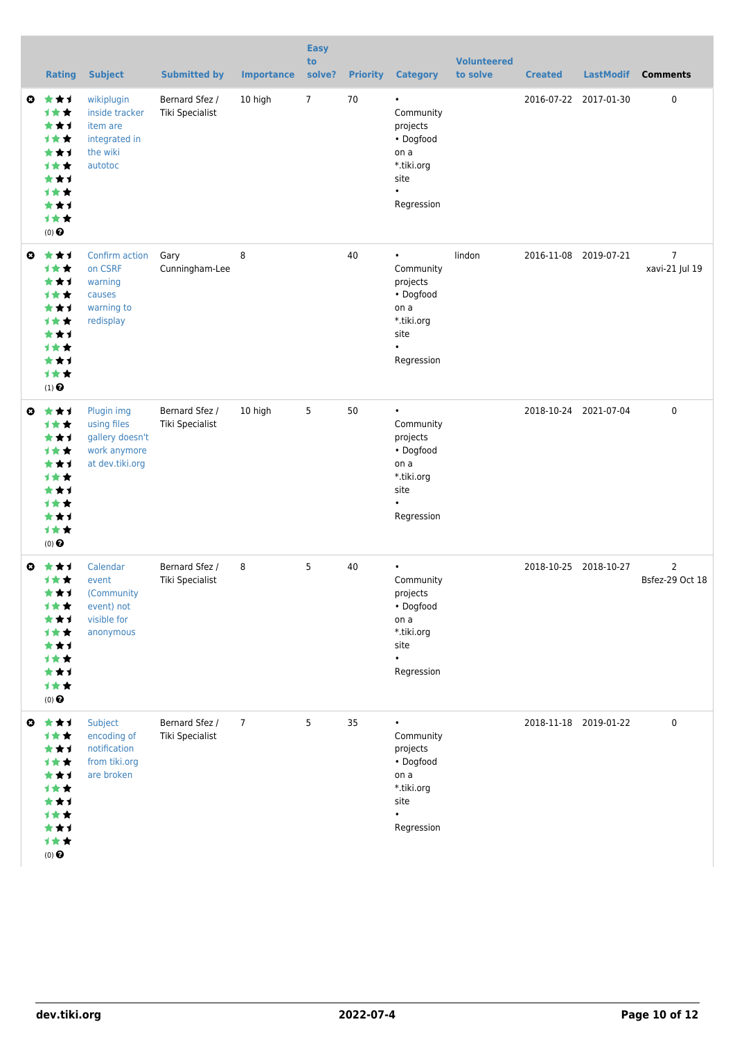|                       | <b>Rating</b>                                                                                                           | <b>Subject</b>                                                                   | <b>Submitted by</b>               | <b>Importance</b> | <b>Easy</b><br>to<br>solve? | <b>Priority</b> | <b>Category</b>                                                                                          | <b>Volunteered</b><br>to solve | <b>Created</b>        | <b>LastModif</b> | <b>Comments</b>                   |
|-----------------------|-------------------------------------------------------------------------------------------------------------------------|----------------------------------------------------------------------------------|-----------------------------------|-------------------|-----------------------------|-----------------|----------------------------------------------------------------------------------------------------------|--------------------------------|-----------------------|------------------|-----------------------------------|
| $\boldsymbol{\omega}$ | ***<br>1★★<br>★★1<br>才女女<br>***<br><b>1**</b><br>***<br>***<br>***<br>才女女<br>$(0)$ <sup><math>\odot</math></sup>        | wikiplugin<br>inside tracker<br>item are<br>integrated in<br>the wiki<br>autotoc | Bernard Sfez /<br>Tiki Specialist | 10 high           | $\overline{7}$              | 70              | $\bullet$<br>Community<br>projects<br>• Dogfood<br>on a<br>*.tiki.org<br>site<br>$\bullet$<br>Regression |                                | 2016-07-22 2017-01-30 |                  | 0                                 |
| $\boldsymbol{\omega}$ | ***<br>1★★<br>★★1<br>计女女<br>★★1<br><b>1★★</b><br>***<br><b>1**</b><br>***<br>才女女<br>$(1)$ <sup><math>\odot</math></sup> | Confirm action<br>on CSRF<br>warning<br>causes<br>warning to<br>redisplay        | Gary<br>Cunningham-Lee            | 8                 |                             | 40              | $\bullet$<br>Community<br>projects<br>• Dogfood<br>on a<br>*.tiki.org<br>site<br>Regression              | lindon                         | 2016-11-08 2019-07-21 |                  | 7<br>xavi-21 Jul 19               |
| $\bullet$             | ***<br>计女女<br>★★1<br>1★★<br>***<br><b>1**</b><br>***<br><b>1★★</b><br>***<br>才女女<br>(0)                                 | Plugin img<br>using files<br>gallery doesn't<br>work anymore<br>at dev.tiki.org  | Bernard Sfez /<br>Tiki Specialist | 10 high           | 5                           | 50              | $\bullet$<br>Community<br>projects<br>• Dogfood<br>on a<br>*.tiki.org<br>site<br>Regression              |                                | 2018-10-24 2021-07-04 |                  | $\pmb{0}$                         |
| O.                    | ***<br>计女女<br>***<br><b>1★★</b><br>★★1<br><b>1★★</b><br>***<br>计女女<br>***<br>计女女<br>$(0)$ $\odot$                       | Calendar<br>event<br>(Community<br>event) not<br>visible for<br>anonymous        | Bernard Sfez /<br>Tiki Specialist | 8                 | 5                           | 40              | Community<br>projects<br>• Dogfood<br>on a<br>*.tiki.org<br>site<br>$\bullet$<br>Regression              |                                | 2018-10-25 2018-10-27 |                  | $\overline{2}$<br>Bsfez-29 Oct 18 |
| $\bullet$             | 大大才<br>计女女<br>***<br>计女女<br>***<br>计女女<br>***<br>计女女<br>***<br>1★★<br>$(0)$ <sup><math>\odot</math></sup>               | Subject<br>encoding of<br>notification<br>from tiki.org<br>are broken            | Bernard Sfez /<br>Tiki Specialist | $\overline{7}$    | 5                           | 35              | Community<br>projects<br>• Dogfood<br>on a<br>*.tiki.org<br>site<br>Regression                           |                                | 2018-11-18 2019-01-22 |                  | 0                                 |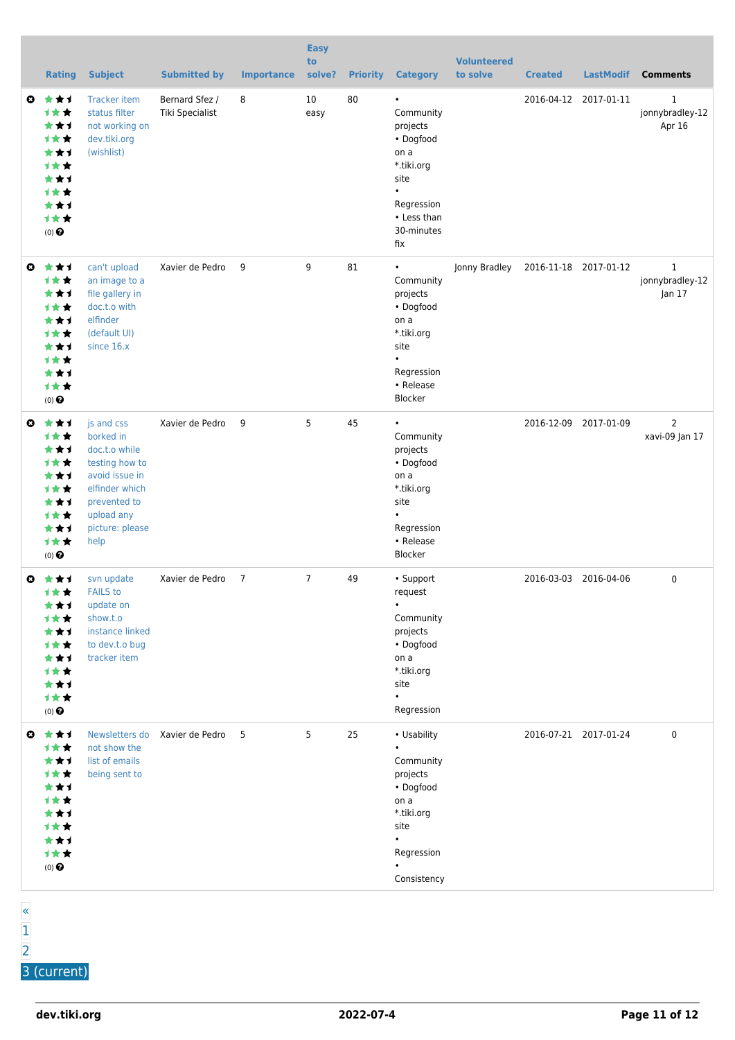|   | <b>Rating</b>                                                                                                            | <b>Subject</b>                                                                                                                                          | <b>Submitted by</b>               | <b>Importance</b> | <b>Easy</b><br>to<br>solve? | <b>Priority</b> | <b>Category</b>                                                                                                                              | <b>Volunteered</b><br>to solve | <b>Created</b>        | <b>LastModif</b>      | <b>Comments</b>                           |
|---|--------------------------------------------------------------------------------------------------------------------------|---------------------------------------------------------------------------------------------------------------------------------------------------------|-----------------------------------|-------------------|-----------------------------|-----------------|----------------------------------------------------------------------------------------------------------------------------------------------|--------------------------------|-----------------------|-----------------------|-------------------------------------------|
| O | ***<br><b>1★★</b><br>★★1<br><b>1★★</b><br>***<br><b>1**</b><br>***<br><b>1 * *</b><br>***<br><b>1★★</b><br>$(0)$ $\odot$ | <b>Tracker item</b><br>status filter<br>not working on<br>dev.tiki.org<br>(wishlist)                                                                    | Bernard Sfez /<br>Tiki Specialist | 8                 | 10<br>easy                  | 80              | $\bullet$<br>Community<br>projects<br>• Dogfood<br>on a<br>*.tiki.org<br>site<br>$\bullet$<br>Regression<br>• Less than<br>30-minutes<br>fix |                                | 2016-04-12            | 2017-01-11            | $\mathbf{1}$<br>jonnybradley-12<br>Apr 16 |
| Ø | 女女子<br><b>1**</b><br>★★1<br>1★★<br>★★1<br>1★★<br>***<br><b>1**</b><br>***<br>→★★<br>$(0)$ $\odot$                        | can't upload<br>an image to a<br>file gallery in<br>doc.t.o with<br>elfinder<br>(default UI)<br>since 16.x                                              | Xavier de Pedro                   | 9                 | 9                           | 81              | Community<br>projects<br>• Dogfood<br>on a<br>*.tiki.org<br>site<br>Regression<br>• Release<br>Blocker                                       | Jonny Bradley                  | 2016-11-18 2017-01-12 |                       | $\mathbf{1}$<br>jonnybradley-12<br>Jan 17 |
| O | ***<br>1★★<br>★★1<br>计女女<br>***<br>计女女<br>***<br>计女女<br>***<br>计女女<br>$(0)$ $\odot$                                      | js and css<br>borked in<br>doc.t.o while<br>testing how to<br>avoid issue in<br>elfinder which<br>prevented to<br>upload any<br>picture: please<br>help | Xavier de Pedro                   | 9                 | 5                           | 45              | $\bullet$<br>Community<br>projects<br>• Dogfood<br>on a<br>*.tiki.org<br>site<br>Regression<br>• Release<br><b>Blocker</b>                   |                                |                       | 2016-12-09 2017-01-09 | $\overline{2}$<br>xavi-09 Jan 17          |
| ◶ | 大女子<br><b>LKX</b><br>***<br><b>1★★</b><br>***<br>计女女<br>***<br>***<br>***<br>计女女<br>$(0)$ $\odot$                        | svn update<br><b>FAILS</b> to<br>update on<br>show.t.o<br>instance linked<br>to dev.t.o bug<br>tracker item                                             | Xavier de Pedro                   | $\overline{7}$    | $\overline{7}$              | 49              | • Support<br>request<br>$\bullet$<br>Community<br>projects<br>• Dogfood<br>on a<br>*.tiki.org<br>site<br>Regression                          |                                | 2016-03-03 2016-04-06 |                       | $\mathbf 0$                               |
| O | 大女子<br>计女女<br>***<br>计女女<br>★★1<br><b>1★★</b><br>★★1<br><b>1★★</b><br>★★1<br>计女女<br>$(0)$ $\odot$                        | not show the<br>list of emails<br>being sent to                                                                                                         | Newsletters do Xavier de Pedro    | 5                 | 5                           | 25              | • Usability<br>$\bullet$<br>Community<br>projects<br>• Dogfood<br>on a<br>*.tiki.org<br>site<br>Regression<br>Consistency                    |                                |                       | 2016-07-21 2017-01-24 | $\pmb{0}$                                 |

[«](https://dev.tiki.org/tiki-print.php?tr_sort_mode1=f_26_desc&page=Community+Projects&&tr_sort_mode3=f_43_asc&tr_offset3=20) [1](https://dev.tiki.org/tiki-print.php?tr_sort_mode1=f_26_desc&page=Community+Projects&&tr_sort_mode3=f_43_asc&tr_offset3=0) [2](https://dev.tiki.org/tiki-print.php?tr_sort_mode1=f_26_desc&page=Community+Projects&&tr_sort_mode3=f_43_asc&tr_offset3=20)